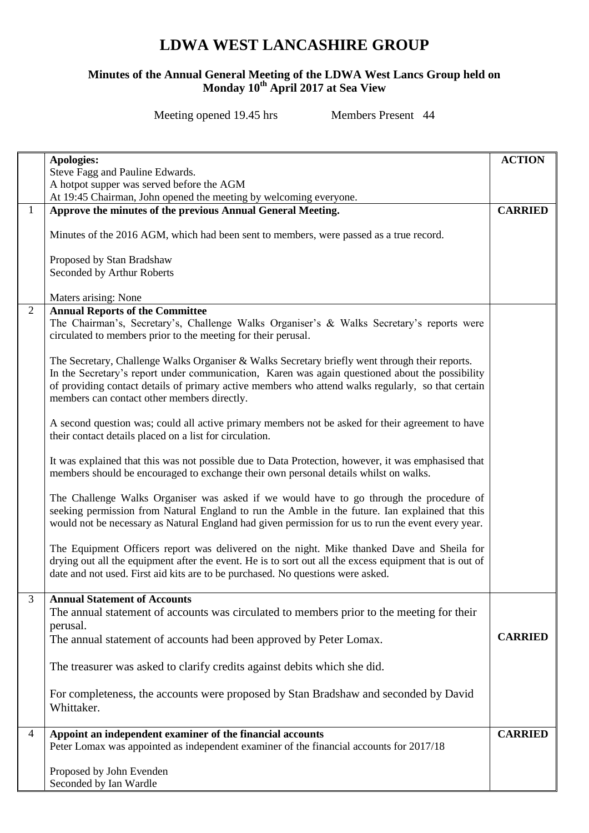## **LDWA WEST LANCASHIRE GROUP**

## **Minutes of the Annual General Meeting of the LDWA West Lancs Group held on Monday 10th April 2017 at Sea View**

Meeting opened 19.45 hrs Members Present 44

|                | Apologies:                                                                                                                                                                                                                                                                                             |                |  |
|----------------|--------------------------------------------------------------------------------------------------------------------------------------------------------------------------------------------------------------------------------------------------------------------------------------------------------|----------------|--|
|                | Steve Fagg and Pauline Edwards.                                                                                                                                                                                                                                                                        |                |  |
|                | A hotpot supper was served before the AGM                                                                                                                                                                                                                                                              |                |  |
|                | At 19:45 Chairman, John opened the meeting by welcoming everyone.                                                                                                                                                                                                                                      | <b>CARRIED</b> |  |
| 1              | Approve the minutes of the previous Annual General Meeting.                                                                                                                                                                                                                                            |                |  |
|                | Minutes of the 2016 AGM, which had been sent to members, were passed as a true record.                                                                                                                                                                                                                 |                |  |
|                | Proposed by Stan Bradshaw<br>Seconded by Arthur Roberts                                                                                                                                                                                                                                                |                |  |
|                | Maters arising: None                                                                                                                                                                                                                                                                                   |                |  |
| $\overline{2}$ | <b>Annual Reports of the Committee</b><br>The Chairman's, Secretary's, Challenge Walks Organiser's & Walks Secretary's reports were<br>circulated to members prior to the meeting for their perusal.<br>The Secretary, Challenge Walks Organiser & Walks Secretary briefly went through their reports. |                |  |
|                | In the Secretary's report under communication, Karen was again questioned about the possibility<br>of providing contact details of primary active members who attend walks regularly, so that certain<br>members can contact other members directly.                                                   |                |  |
|                | A second question was; could all active primary members not be asked for their agreement to have<br>their contact details placed on a list for circulation.                                                                                                                                            |                |  |
|                | It was explained that this was not possible due to Data Protection, however, it was emphasised that<br>members should be encouraged to exchange their own personal details whilst on walks.                                                                                                            |                |  |
|                | The Challenge Walks Organiser was asked if we would have to go through the procedure of<br>seeking permission from Natural England to run the Amble in the future. Ian explained that this<br>would not be necessary as Natural England had given permission for us to run the event every year.       |                |  |
|                | The Equipment Officers report was delivered on the night. Mike thanked Dave and Sheila for<br>drying out all the equipment after the event. He is to sort out all the excess equipment that is out of<br>date and not used. First aid kits are to be purchased. No questions were asked.               |                |  |
| 3              | <b>Annual Statement of Accounts</b>                                                                                                                                                                                                                                                                    |                |  |
|                | The annual statement of accounts was circulated to members prior to the meeting for their                                                                                                                                                                                                              |                |  |
|                | perusal.                                                                                                                                                                                                                                                                                               |                |  |
|                | The annual statement of accounts had been approved by Peter Lomax.                                                                                                                                                                                                                                     | <b>CARRIED</b> |  |
|                | The treasurer was asked to clarify credits against debits which she did.                                                                                                                                                                                                                               |                |  |
|                | For completeness, the accounts were proposed by Stan Bradshaw and seconded by David<br>Whittaker.                                                                                                                                                                                                      |                |  |
| $\overline{4}$ | Appoint an independent examiner of the financial accounts                                                                                                                                                                                                                                              | <b>CARRIED</b> |  |
|                | Peter Lomax was appointed as independent examiner of the financial accounts for 2017/18                                                                                                                                                                                                                |                |  |
|                |                                                                                                                                                                                                                                                                                                        |                |  |
|                | Proposed by John Evenden<br>Seconded by Ian Wardle                                                                                                                                                                                                                                                     |                |  |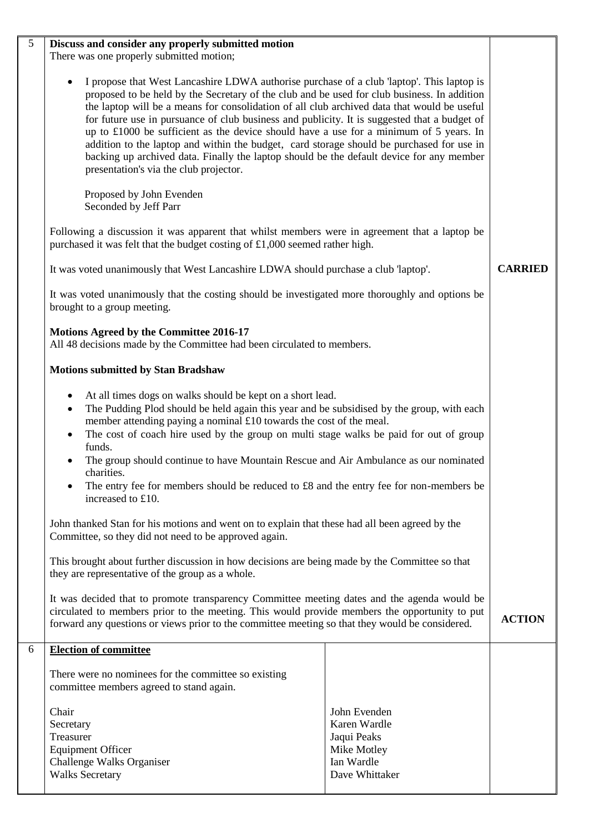| 5 | Discuss and consider any properly submitted motion                                                                                                                                                                                                                                                                                                                                                                                                                                                                                                                                                                                                                                                                                  |  |  |  |  |
|---|-------------------------------------------------------------------------------------------------------------------------------------------------------------------------------------------------------------------------------------------------------------------------------------------------------------------------------------------------------------------------------------------------------------------------------------------------------------------------------------------------------------------------------------------------------------------------------------------------------------------------------------------------------------------------------------------------------------------------------------|--|--|--|--|
|   | There was one properly submitted motion;                                                                                                                                                                                                                                                                                                                                                                                                                                                                                                                                                                                                                                                                                            |  |  |  |  |
|   | I propose that West Lancashire LDWA authorise purchase of a club 'laptop'. This laptop is<br>proposed to be held by the Secretary of the club and be used for club business. In addition<br>the laptop will be a means for consolidation of all club archived data that would be useful<br>for future use in pursuance of club business and publicity. It is suggested that a budget of<br>up to $\text{\pounds}1000$ be sufficient as the device should have a use for a minimum of 5 years. In<br>addition to the laptop and within the budget, card storage should be purchased for use in<br>backing up archived data. Finally the laptop should be the default device for any member<br>presentation's via the club projector. |  |  |  |  |
|   | Proposed by John Evenden<br>Seconded by Jeff Parr                                                                                                                                                                                                                                                                                                                                                                                                                                                                                                                                                                                                                                                                                   |  |  |  |  |
|   | Following a discussion it was apparent that whilst members were in agreement that a laptop be<br>purchased it was felt that the budget costing of £1,000 seemed rather high.                                                                                                                                                                                                                                                                                                                                                                                                                                                                                                                                                        |  |  |  |  |
|   | It was voted unanimously that West Lancashire LDWA should purchase a club 'laptop'.                                                                                                                                                                                                                                                                                                                                                                                                                                                                                                                                                                                                                                                 |  |  |  |  |
|   | It was voted unanimously that the costing should be investigated more thoroughly and options be<br>brought to a group meeting.                                                                                                                                                                                                                                                                                                                                                                                                                                                                                                                                                                                                      |  |  |  |  |
|   | <b>Motions Agreed by the Committee 2016-17</b><br>All 48 decisions made by the Committee had been circulated to members.                                                                                                                                                                                                                                                                                                                                                                                                                                                                                                                                                                                                            |  |  |  |  |
|   | <b>Motions submitted by Stan Bradshaw</b>                                                                                                                                                                                                                                                                                                                                                                                                                                                                                                                                                                                                                                                                                           |  |  |  |  |
|   | At all times dogs on walks should be kept on a short lead.<br>$\bullet$<br>The Pudding Plod should be held again this year and be subsidised by the group, with each<br>member attending paying a nominal £10 towards the cost of the meal.<br>The cost of coach hire used by the group on multi stage walks be paid for out of group<br>$\bullet$<br>funds.<br>The group should continue to have Mountain Rescue and Air Ambulance as our nominated<br>charities.<br>The entry fee for members should be reduced to £8 and the entry fee for non-members be                                                                                                                                                                        |  |  |  |  |
|   | increased to £10.                                                                                                                                                                                                                                                                                                                                                                                                                                                                                                                                                                                                                                                                                                                   |  |  |  |  |
|   | John thanked Stan for his motions and went on to explain that these had all been agreed by the<br>Committee, so they did not need to be approved again.                                                                                                                                                                                                                                                                                                                                                                                                                                                                                                                                                                             |  |  |  |  |
|   | This brought about further discussion in how decisions are being made by the Committee so that<br>they are representative of the group as a whole.                                                                                                                                                                                                                                                                                                                                                                                                                                                                                                                                                                                  |  |  |  |  |
|   | It was decided that to promote transparency Committee meeting dates and the agenda would be<br>circulated to members prior to the meeting. This would provide members the opportunity to put<br>forward any questions or views prior to the committee meeting so that they would be considered.                                                                                                                                                                                                                                                                                                                                                                                                                                     |  |  |  |  |
| 6 | <b>Election of committee</b>                                                                                                                                                                                                                                                                                                                                                                                                                                                                                                                                                                                                                                                                                                        |  |  |  |  |
|   | There were no nominees for the committee so existing<br>committee members agreed to stand again.                                                                                                                                                                                                                                                                                                                                                                                                                                                                                                                                                                                                                                    |  |  |  |  |
|   | Chair<br>John Evenden<br>Karen Wardle<br>Secretary<br>Treasurer<br>Jaqui Peaks<br><b>Equipment Officer</b><br>Mike Motley<br>Challenge Walks Organiser<br>Ian Wardle<br><b>Walks Secretary</b><br>Dave Whittaker                                                                                                                                                                                                                                                                                                                                                                                                                                                                                                                    |  |  |  |  |